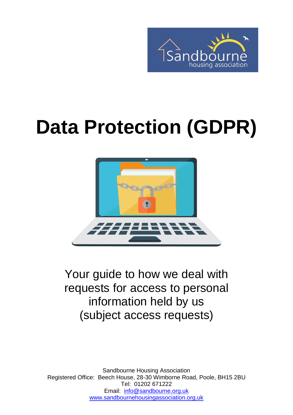

# **Data Protection (GDPR)**



Your guide to how we deal with requests for access to personal information held by us (subject access requests)

Sandbourne Housing Association Registered Office: Beech House, 28-30 Wimborne Road, Poole, BH15 2BU Tel: 01202 671222 Email: [info@sandbourne.org.uk](mailto:info@sandbourne.org.uk) [www.sandbournehousingassociation.org.uk](http://www.sandbournehousingassociation.org.uk/)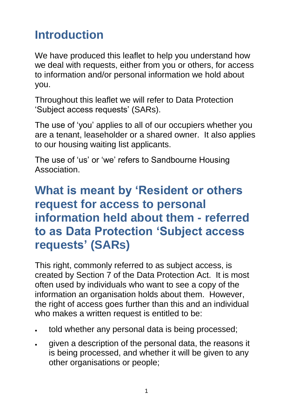# **Introduction**

We have produced this leaflet to help you understand how we deal with requests, either from you or others, for access to information and/or personal information we hold about you.

Throughout this leaflet we will refer to Data Protection 'Subject access requests' (SARs).

The use of 'you' applies to all of our occupiers whether you are a tenant, leaseholder or a shared owner. It also applies to our housing waiting list applicants.

The use of 'us' or 'we' refers to Sandbourne Housing Association.

# **What is meant by 'Resident or others request for access to personal information held about them - referred to as Data Protection 'Subject access requests' (SARs)**

This right, commonly referred to as subject access, is created by Section 7 of the Data Protection Act. It is most often used by individuals who want to see a copy of the information an organisation holds about them. However, the right of access goes further than this and an individual who makes a written request is entitled to be:

- told whether any personal data is being processed;
- given a description of the personal data, the reasons it is being processed, and whether it will be given to any other organisations or people;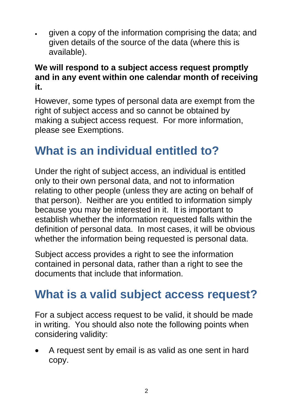given a copy of the information comprising the data; and given details of the source of the data (where this is available).

#### **We will respond to a subject access request promptly and in any event within one calendar month of receiving it.**

However, some types of personal data are exempt from the right of subject access and so cannot be obtained by making a subject access request. For more information, please see [Exemptions.](https://ico.org.uk/for-organisations/guide-to-data-protection/exemptions/)

# **What is an individual entitled to?**

Under the right of subject access, an individual is entitled only to their own personal data, and not to information relating to other people (unless they are acting on behalf of that person). Neither are you entitled to information simply because you may be interested in it. It is important to establish whether the information requested falls within the definition of personal data. In most cases, it will be obvious whether the information being requested is personal data.

Subject access provides a right to see the information contained in personal data, rather than a right to see the documents that include that information.

# **What is a valid subject access request?**

For a subject access request to be valid, it should be made in writing. You should also note the following points when considering validity:

 A request sent by email is as valid as one sent in hard copy.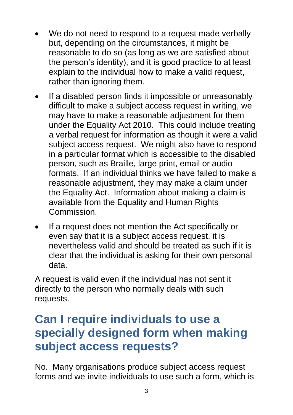- We do not need to respond to a request made verbally but, depending on the circumstances, it might be reasonable to do so (as long as we are satisfied about the person's identity), and it is good practice to at least explain to the individual how to make a valid request, rather than ignoring them.
- If a disabled person finds it impossible or unreasonably difficult to make a subject access request in writing, we may have to make a reasonable adjustment for them under the Equality Act 2010. This could include treating a verbal request for information as though it were a valid subject access request. We might also have to respond in a particular format which is accessible to the disabled person, such as Braille, large print, email or audio formats. If an individual thinks we have failed to make a reasonable adjustment, they may make a claim under the Equality Act. Information about making a claim is available from the Equality and Human Rights Commission.
- If a request does not mention the Act specifically or even say that it is a subject access request, it is nevertheless valid and should be treated as such if it is clear that the individual is asking for their own personal data.

A request is valid even if the individual has not sent it directly to the person who normally deals with such requests.

# **Can I require individuals to use a specially designed form when making subject access requests?**

No. Many organisations produce subject access request forms and we invite individuals to use such a form, which is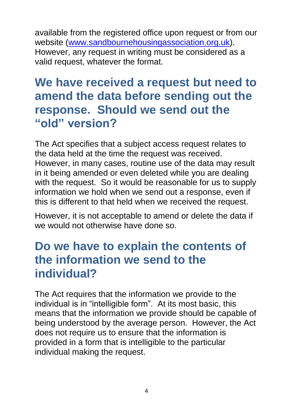available from the registered office upon request or from our website [\(www.sandbournehousingassociation.org.uk\)](http://www.sandbournehousingassociation.org.uk/). However, any request in writing must be considered as a valid request, whatever the format.

### **We have received a request but need to amend the data before sending out the response. Should we send out the "old" version?**

The Act specifies that a subject access request relates to the data held at the time the request was received. However, in many cases, routine use of the data may result in it being amended or even deleted while you are dealing with the request. So it would be reasonable for us to supply information we hold when we send out a response, even if this is different to that held when we received the request.

However, it is not acceptable to amend or delete the data if we would not otherwise have done so.

## **Do we have to explain the contents of the information we send to the individual?**

The Act requires that the information we provide to the individual is in "intelligible form". At its most basic, this means that the information we provide should be capable of being understood by the average person. However, the Act does not require us to ensure that the information is provided in a form that is intelligible to the particular individual making the request.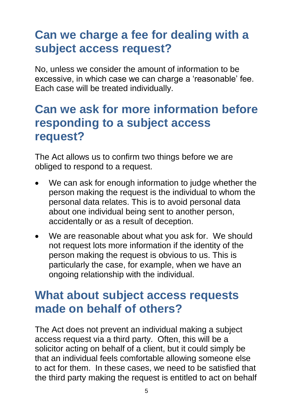# **Can we charge a fee for dealing with a subject access request?**

No, unless we consider the amount of information to be excessive, in which case we can charge a 'reasonable' fee. Each case will be treated individually.

## **Can we ask for more information before responding to a subject access request?**

The Act allows us to confirm two things before we are obliged to respond to a request.

- We can ask for enough information to judge whether the person making the request is the individual to whom the personal data relates. This is to avoid personal data about one individual being sent to another person, accidentally or as a result of deception.
- We are reasonable about what you ask for. We should not request lots more information if the identity of the person making the request is obvious to us. This is particularly the case, for example, when we have an ongoing relationship with the individual.

#### **What about subject access requests made on behalf of others?**

The Act does not prevent an individual making a subject access request via a third party. Often, this will be a solicitor acting on behalf of a client, but it could simply be that an individual feels comfortable allowing someone else to act for them. In these cases, we need to be satisfied that the third party making the request is entitled to act on behalf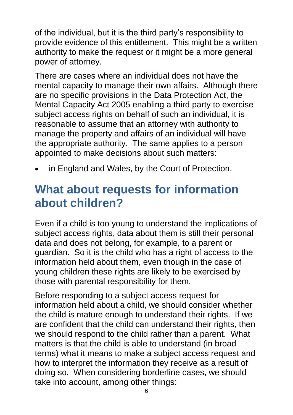of the individual, but it is the third party's responsibility to provide evidence of this entitlement. This might be a written authority to make the request or it might be a more general power of attorney.

There are cases where an individual does not have the mental capacity to manage their own affairs. Although there are no specific provisions in the Data Protection Act, the Mental Capacity Act 2005 enabling a third party to exercise subject access rights on behalf of such an individual, it is reasonable to assume that an attorney with authority to manage the property and affairs of an individual will have the appropriate authority. The same applies to a person appointed to make decisions about such matters:

in England and Wales, by the Court of Protection.

# **What about requests for information about children?**

Even if a child is too young to understand the implications of subject access rights, data about them is still their personal data and does not belong, for example, to a parent or guardian. So it is the child who has a right of access to the information held about them, even though in the case of young children these rights are likely to be exercised by those with parental responsibility for them.

Before responding to a subject access request for information held about a child, we should consider whether the child is mature enough to understand their rights. If we are confident that the child can understand their rights, then we should respond to the child rather than a parent. What matters is that the child is able to understand (in broad terms) what it means to make a subject access request and how to interpret the information they receive as a result of doing so. When considering borderline cases, we should take into account, among other things: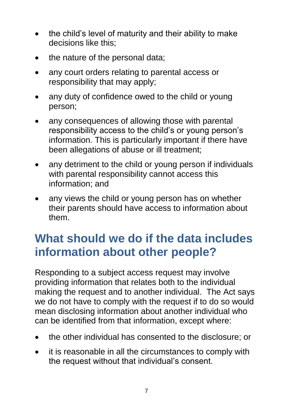- the child's level of maturity and their ability to make decisions like this;
- the nature of the personal data;
- any court orders relating to parental access or responsibility that may apply;
- any duty of confidence owed to the child or young person;
- any consequences of allowing those with parental responsibility access to the child's or young person's information. This is particularly important if there have been allegations of abuse or ill treatment;
- any detriment to the child or young person if individuals with parental responsibility cannot access this information; and
- any views the child or young person has on whether their parents should have access to information about them.

# **What should we do if the data includes information about other people?**

Responding to a subject access request may involve providing information that relates both to the individual making the request and to another individual. The Act says we do not have to comply with the request if to do so would mean disclosing information about another individual who can be identified from that information, except where:

- the other individual has consented to the disclosure; or
- it is reasonable in all the circumstances to comply with the request without that individual's consent.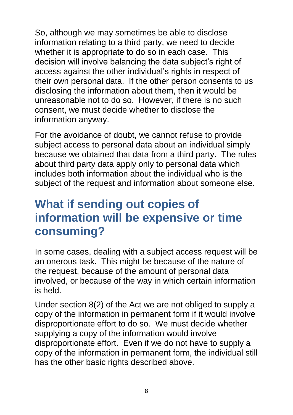So, although we may sometimes be able to disclose information relating to a third party, we need to decide whether it is appropriate to do so in each case. This decision will involve balancing the data subject's right of access against the other individual's rights in respect of their own personal data. If the other person consents to us disclosing the information about them, then it would be unreasonable not to do so. However, if there is no such consent, we must decide whether to disclose the information anyway.

For the avoidance of doubt, we cannot refuse to provide subject access to personal data about an individual simply because we obtained that data from a third party. The rules about third party data apply only to personal data which includes both information about the individual who is the subject of the request and information about someone else.

# **What if sending out copies of information will be expensive or time consuming?**

In some cases, dealing with a subject access request will be an onerous task. This might be because of the nature of the request, because of the amount of personal data involved, or because of the way in which certain information is held.

Under section 8(2) of the Act we are not obliged to supply a copy of the information in permanent form if it would involve disproportionate effort to do so. We must decide whether supplying a copy of the information would involve disproportionate effort. Even if we do not have to supply a copy of the information in permanent form, the individual still has the other basic rights described above.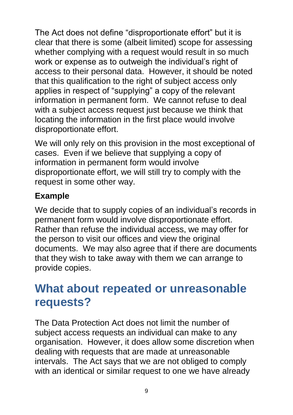The Act does not define "disproportionate effort" but it is clear that there is some (albeit limited) scope for assessing whether complying with a request would result in so much work or expense as to outweigh the individual's right of access to their personal data. However, it should be noted that this qualification to the right of subject access only applies in respect of "supplying" a copy of the relevant information in permanent form. We cannot refuse to deal with a subject access request just because we think that locating the information in the first place would involve disproportionate effort.

We will only rely on this provision in the most exceptional of cases. Even if we believe that supplying a copy of information in permanent form would involve disproportionate effort, we will still try to comply with the request in some other way.

#### **Example**

We decide that to supply copies of an individual's records in permanent form would involve disproportionate effort. Rather than refuse the individual access, we may offer for the person to visit our offices and view the original documents. We may also agree that if there are documents that they wish to take away with them we can arrange to provide copies.

## **What about repeated or unreasonable requests?**

The Data Protection Act does not limit the number of subject access requests an individual can make to any organisation. However, it does allow some discretion when dealing with requests that are made at unreasonable intervals. The Act says that we are not obliged to comply with an identical or similar request to one we have already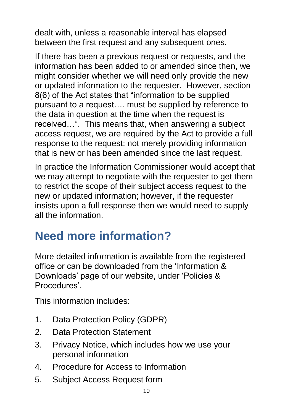dealt with, unless a reasonable interval has elapsed between the first request and any subsequent ones.

If there has been a previous request or requests, and the information has been added to or amended since then, we might consider whether we will need only provide the new or updated information to the requester. However, section 8(6) of the Act states that "information to be supplied pursuant to a request…. must be supplied by reference to the data in question at the time when the request is received…". This means that, when answering a subject access request, we are required by the Act to provide a full response to the request: not merely providing information that is new or has been amended since the last request.

In practice the Information Commissioner would accept that we may attempt to negotiate with the requester to get them to restrict the scope of their subject access request to the new or updated information; however, if the requester insists upon a full response then we would need to supply all the information.

# **Need more information?**

More detailed information is available from the registered office or can be downloaded from the 'Information & Downloads' page of our website, under 'Policies & Procedures'.

This information includes:

- 1. Data Protection Policy (GDPR)
- 2. Data Protection Statement
- 3. Privacy Notice, which includes how we use your personal information
- 4. Procedure for Access to Information
- 5. Subject Access Request form